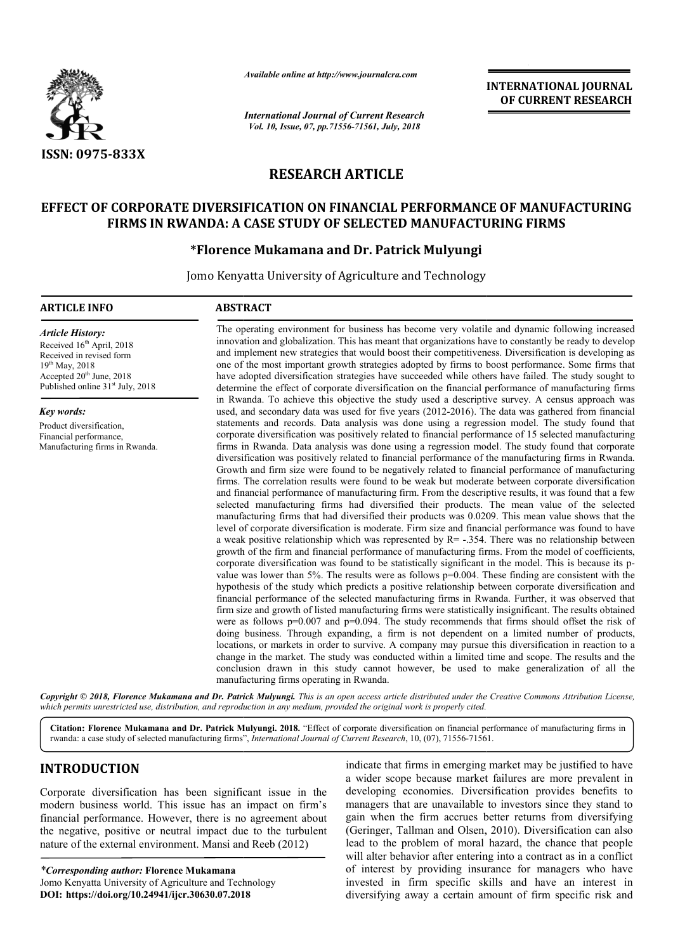

*Available online at http://www.journalcra.com*

*International Journal of Current Research Vol. 10, Issue, 07, pp.71556-71561, July, 2018*

**INTERNATIONAL JOURNAL OF CURRENT RESEARCH**

# **RESEARCH ARTICLE**

# **EFFECT OF CORPORATE DIVERSIFICATION ON FINANCIAL PERFORMANCE OF MANUFACTURING FIRMS IN RWANDA: A CASE STUDY OF SELECTED MANUFACTURING FIRMS IN RWANDA:**

# **\*Florence Mukamana and Dr. Patrick Florence Mulyungi**

Jomo Kenyatta University of Agriculture and Technology

# **ARTICLE INFO ABSTRACT**

*Article History:* Received 16<sup>th</sup> April, 2018 Received in revised form 19th May, 2018 Accepted  $20<sup>th</sup>$  June, 2018 Published online 31<sup>st</sup> July, 2018

*Key words:* Product diversification, Financial performance, Manufacturing firms in Rwanda.

The operating environment for business has become very volatile and dynamic following increased innovation and globalization. This has meant that organizations have to constantly be ready to develop and implement new strategies that would boost their competitiveness. Diversification is developing as one of the most important growth strategies adopted by firms to boost performance. Some firms that have adopted diversification strategies have succeeded while others have failed. The study sought to determine the effect of corporate diversification on the financial performance of manufacturing firms in Rwanda. To achieve this objective the study used a descriptive survey. A census approach was used, and secondary data was used for five years (2012-2016). The data was gathered from financial statements and records. Data analysis was done using a regression model. The study found that corporate diversification was positively related to financial performance of 15 selected manufacturing firms in Rwanda. Data analysis was done using a regression model. The study found that corporate diversif diversification was positively related to financial performance of the manufacturing firms in Rwanda. Growth and firm size were found to be negatively related to financial performance of manufacturing firms. The correlation results were found to be weak but moderate between corporate diversification and financial performance of manufacturing firm. From the descriptive results, it was found that a few selected manufacturing firms had diversified their products. The mean value of the selected manufacturing firms that had diversified their products was 0.0209. This mean value shows that the level of corporate diversification is moderate. Firm size and financial performance was found to have a weak positive relationship which was represented by  $R = -0.354$ . There was no re growth of the firm and financial performance of manufacturing firms. From the model of coefficients, growth of the firm and financial performance of manufacturing firms. From the model of coefficients, corporate diversification was found to be statistically significant in the model. This is because its pvalue was lower than 5%. The results were as follows  $p=0.004$ . These finding are consistent with the hypothesis of the study which predicts a positive relationship between corporate diversification and value was lower than 5%. The results were as follows p=0.004. These finding are consistent with the hypothesis of the study which predicts a positive relationship between corporate diversification and financial performance firm size and growth of listed manufacturing firms were statistically insignificant. The results obtained were as follows p=0.007 and p=0.094. The study recommends that firms should offset the risk of doing business. Through expanding, a firm is not dependent on a limited number of products, locations, or markets in order to survive. A company may pursue this diversification in reaction to a change in the market. The study was conducted within a limited time and scope. The results and the conclu conclusion drawn in this study cannot however, be used to make generalization of all the manufacturing firms operating in Rwanda. innovation and globalization. This has meant that organizations have to constantly be ready to develop and implement new strategies that would boost their competitiveness. Diversification is developing as one of the most i in Rwanda. To achieve this objective the study used a descriptive survey. A census approach was used, and secondary data was used for five years (2012-2016). The data was gathered from financial statements and records. Dat and financial performance of manufacturing firm. From the descriptive results, it was found that a few selected manufacturing firms that had diversified their products. The mean value of the selected manufacturing firms t firm size and growth of listed manufacturing firms were statistically insignificant. The were as follows  $p=0.007$  and  $p=0.094$ . The study recommends that firms should doing business. Through expanding, a firm is not dep **INTERNATIONAL JOURNAL OF CURRENT RESEARCH (I) CONVINING OF CURRENT RESEARCH (I) CONVINING TO A CONVINING TRAMS (I) THE CONVINING TRAMS (II) THE CONVINING TRAMS (II) THE CONVINING TRAMS (III) UNITRACTURING FIRMS (III) UNIT** 

Copyright © 2018, Florence Mukamana and Dr. Patrick Mulyungi. This is an open access article distributed under the Creative Commons Attribution License, which permits unrestricted use, distribution, and reproduction in any medium, provided the original work is properly cited.

**Citation: Florence Mukamana and Dr. Patrick Mulyungi. 2018.** "Effect of corporate diversification on financial performance of manufacturing firms in rwanda: a case study of selected manufacturing firms", *International Journal of Current Research*, 10, (07), 71556-71561.

# **INTRODUCTION**

Corporate diversification has been significant issue in the modern business world. This issue has an impact on firm's financial performance. However, there is no agreement about the negative, positive or neutral impact due to the turbulent nature of the external environment. Mansi and Reeb (2012)

*\*Corresponding author:* **Florence Mukamana**  Jomo Kenyatta University of Agriculture and Technology **DOI: https://doi.org/10.24941/ijcr.30630.07.2018**

**TION**<br>
indicate that firms in emerging market may be justified to have<br>
in the a wider scope because market failures are more prevalent in<br>
significant issue in the developing economies. Diversification provides benefits a wider scope because market failures are more prevalent in developing economies. Diversification provides benefits to managers that are unavailable to investors since they stand to gain when the firm accrues better returns from diversifying (Geringer, Tallman and Olsen, 2010). Diversification can also lead to the problem of moral hazard, the chance that people will alter behavior after entering into a contract as in a conflict of interest by providing insurance for managers who have invested in firm specific skills and have an interest in diversifying away a certain amount of firm specific risk and that firms in emerging market may be justified to have scope because market failures are more prevalent in ing economies. Diversification provides benefits to rs that are unavailable to investors since they stand to en the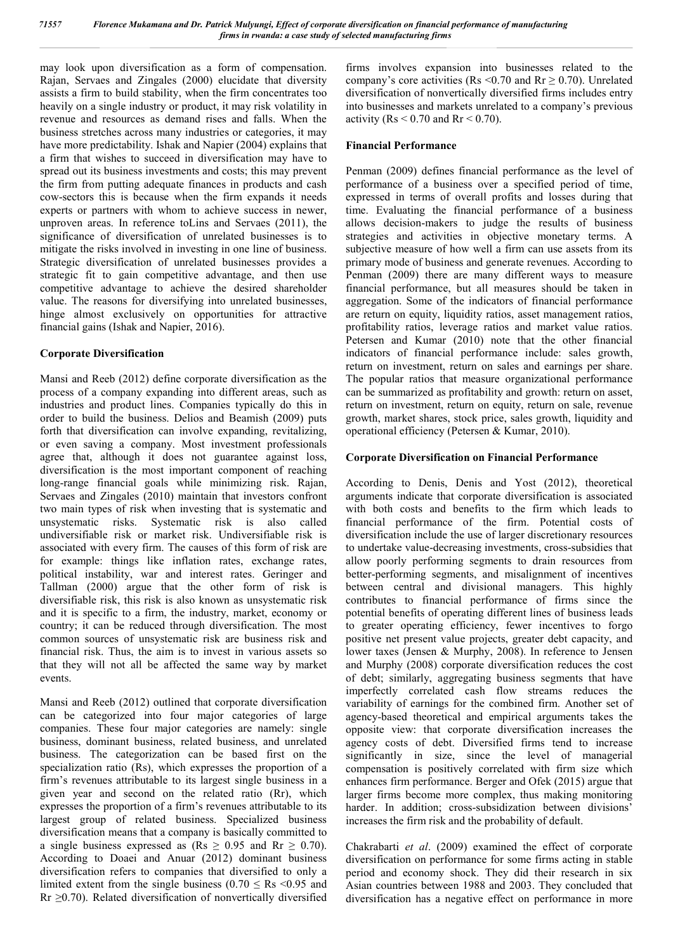may look upon diversification as a form of compensation. Rajan, Servaes and Zingales (2000) elucidate that diversity assists a firm to build stability, when the firm concentrates too heavily on a single industry or product, it may risk volatility in revenue and resources as demand rises and falls. When the business stretches across many industries or categories, it may have more predictability. Ishak and Napier (2004) explains that a firm that wishes to succeed in diversification may have to spread out its business investments and costs; this may prevent the firm from putting adequate finances in products and cash cow-sectors this is because when the firm expands it needs experts or partners with whom to achieve success in newer, unproven areas. In reference toLins and Servaes (2011), the significance of diversification of unrelated businesses is to mitigate the risks involved in investing in one line of business. Strategic diversification of unrelated businesses provides a strategic fit to gain competitive advantage, and then use competitive advantage to achieve the desired shareholder value. The reasons for diversifying into unrelated businesses, hinge almost exclusively on opportunities for attractive financial gains (Ishak and Napier, 2016).

# **Corporate Diversification**

Mansi and Reeb (2012) define corporate diversification as the process of a company expanding into different areas, such as industries and product lines. Companies typically do this in order to build the business. Delios and Beamish (2009) puts forth that diversification can involve expanding, revitalizing, or even saving a company. Most investment professionals agree that, although it does not guarantee against loss, diversification is the most important component of reaching long-range financial goals while minimizing risk. Rajan, Servaes and Zingales (2010) maintain that investors confront two main types of risk when investing that is systematic and unsystematic risks. Systematic risk is also called undiversifiable risk or market risk. Undiversifiable risk is associated with every firm. The causes of this form of risk are for example: things like inflation rates, exchange rates, political instability, war and interest rates. Geringer and Tallman (2000) argue that the other form of risk is diversifiable risk, this risk is also known as unsystematic risk and it is specific to a firm, the industry, market, economy or country; it can be reduced through diversification. The most common sources of unsystematic risk are business risk and financial risk. Thus, the aim is to invest in various assets so that they will not all be affected the same way by market events.

Mansi and Reeb (2012) outlined that corporate diversification can be categorized into four major categories of large companies. These four major categories are namely: single business, dominant business, related business, and unrelated business. The categorization can be based first on the specialization ratio (Rs), which expresses the proportion of a firm's revenues attributable to its largest single business in a given year and second on the related ratio (Rr), which expresses the proportion of a firm's revenues attributable to its largest group of related business. Specialized business diversification means that a company is basically committed to a single business expressed as (Rs  $\geq$  0.95 and Rr  $\geq$  0.70). According to Doaei and Anuar (2012) dominant business diversification refers to companies that diversified to only a limited extent from the single business  $(0.70 \leq \text{Rs } 0.95 \text{ and } 0.01)$  $Rr \ge 0.70$ ). Related diversification of nonvertically diversified firms involves expansion into businesses related to the company's core activities (Rs <0.70 and Rr  $\geq$  0.70). Unrelated diversification of nonvertically diversified firms includes entry into businesses and markets unrelated to a company's previous activity ( $Rs < 0.70$  and  $Rr < 0.70$ ).

## **Financial Performance**

Penman (2009) defines financial performance as the level of performance of a business over a specified period of time, expressed in terms of overall profits and losses during that time. Evaluating the financial performance of a business allows decision-makers to judge the results of business strategies and activities in objective monetary terms. A subjective measure of how well a firm can use assets from its primary mode of business and generate revenues. According to Penman (2009) there are many different ways to measure financial performance, but all measures should be taken in aggregation. Some of the indicators of financial performance are return on equity, liquidity ratios, asset management ratios, profitability ratios, leverage ratios and market value ratios. Petersen and Kumar (2010) note that the other financial indicators of financial performance include: sales growth, return on investment, return on sales and earnings per share. The popular ratios that measure organizational performance can be summarized as profitability and growth: return on asset, return on investment, return on equity, return on sale, revenue growth, market shares, stock price, sales growth, liquidity and operational efficiency (Petersen & Kumar, 2010).

# **Corporate Diversification on Financial Performance**

According to Denis, Denis and Yost (2012), theoretical arguments indicate that corporate diversification is associated with both costs and benefits to the firm which leads to financial performance of the firm. Potential costs of diversification include the use of larger discretionary resources to undertake value-decreasing investments, cross-subsidies that allow poorly performing segments to drain resources from better-performing segments, and misalignment of incentives between central and divisional managers. This highly contributes to financial performance of firms since the potential benefits of operating different lines of business leads to greater operating efficiency, fewer incentives to forgo positive net present value projects, greater debt capacity, and lower taxes (Jensen & Murphy, 2008). In reference to Jensen and Murphy (2008) corporate diversification reduces the cost of debt; similarly, aggregating business segments that have imperfectly correlated cash flow streams reduces the variability of earnings for the combined firm. Another set of agency-based theoretical and empirical arguments takes the opposite view: that corporate diversification increases the agency costs of debt. Diversified firms tend to increase significantly in size, since the level of managerial compensation is positively correlated with firm size which enhances firm performance. Berger and Ofek (2015) argue that larger firms become more complex, thus making monitoring harder. In addition; cross-subsidization between divisions' increases the firm risk and the probability of default.

Chakrabarti *et al*. (2009) examined the effect of corporate diversification on performance for some firms acting in stable period and economy shock. They did their research in six Asian countries between 1988 and 2003. They concluded that diversification has a negative effect on performance in more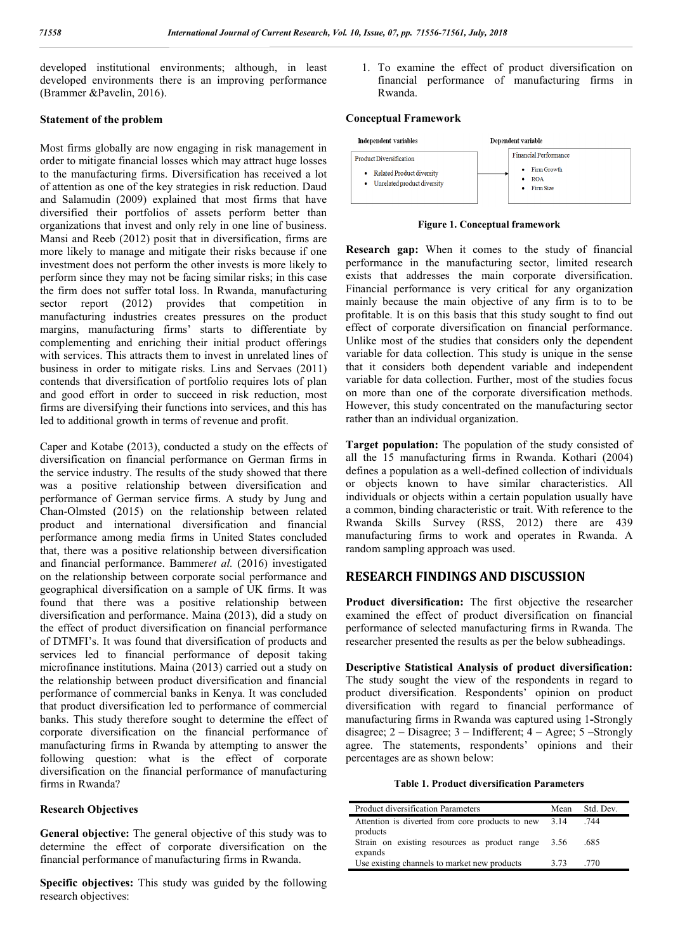developed institutional environments; although, in least developed environments there is an improving performance (Brammer &Pavelin, 2016).

#### **Statement of the problem**

Most firms globally are now engaging in risk management in order to mitigate financial losses which may attract huge losses to the manufacturing firms. Diversification has received a lot of attention as one of the key strategies in risk reduction. Daud and Salamudin (2009) explained that most firms that have diversified their portfolios of assets perform better than organizations that invest and only rely in one line of business. Mansi and Reeb (2012) posit that in diversification, firms are more likely to manage and mitigate their risks because if one investment does not perform the other invests is more likely to perform since they may not be facing similar risks; in this case the firm does not suffer total loss. In Rwanda, manufacturing sector report (2012) provides that competition in manufacturing industries creates pressures on the product margins, manufacturing firms' starts to differentiate by complementing and enriching their initial product offerings with services. This attracts them to invest in unrelated lines of business in order to mitigate risks. Lins and Servaes (2011) contends that diversification of portfolio requires lots of plan and good effort in order to succeed in risk reduction, most firms are diversifying their functions into services, and this has led to additional growth in terms of revenue and profit.

Caper and Kotabe (2013), conducted a study on the effects of diversification on financial performance on German firms in the service industry. The results of the study showed that there was a positive relationship between diversification and performance of German service firms. A study by Jung and Chan-Olmsted (2015) on the relationship between related product and international diversification and financial performance among media firms in United States concluded that, there was a positive relationship between diversification and financial performance. Bammer*et al.* (2016) investigated on the relationship between corporate social performance and geographical diversification on a sample of UK firms. It was found that there was a positive relationship between diversification and performance. Maina (2013), did a study on the effect of product diversification on financial performance of DTMFI's. It was found that diversification of products and services led to financial performance of deposit taking microfinance institutions. Maina (2013) carried out a study on the relationship between product diversification and financial performance of commercial banks in Kenya. It was concluded that product diversification led to performance of commercial banks. This study therefore sought to determine the effect of corporate diversification on the financial performance of manufacturing firms in Rwanda by attempting to answer the following question: what is the effect of corporate diversification on the financial performance of manufacturing firms in Rwanda?

#### **Research Objectives**

**General objective:** The general objective of this study was to determine the effect of corporate diversification on the financial performance of manufacturing firms in Rwanda.

**Specific objectives:** This study was guided by the following research objectives:

1. To examine the effect of product diversification on financial performance of manufacturing firms in Rwanda.

### **Conceptual Framework**



#### **Figure 1. Conceptual framework**

**Research gap:** When it comes to the study of financial performance in the manufacturing sector, limited research exists that addresses the main corporate diversification. Financial performance is very critical for any organization mainly because the main objective of any firm is to to be profitable. It is on this basis that this study sought to find out effect of corporate diversification on financial performance. Unlike most of the studies that considers only the dependent variable for data collection. This study is unique in the sense that it considers both dependent variable and independent variable for data collection. Further, most of the studies focus on more than one of the corporate diversification methods. However, this study concentrated on the manufacturing sector rather than an individual organization.

**Target population:** The population of the study consisted of all the 15 manufacturing firms in Rwanda. Kothari (2004) defines a population as a well-defined collection of individuals or objects known to have similar characteristics. All individuals or objects within a certain population usually have a common, binding characteristic or trait. With reference to the Rwanda Skills Survey (RSS, 2012) there are 439 manufacturing firms to work and operates in Rwanda. A random sampling approach was used.

# **RESEARCH FINDINGS AND DISCUSSION**

**Product diversification:** The first objective the researcher examined the effect of product diversification on financial performance of selected manufacturing firms in Rwanda. The researcher presented the results as per the below subheadings.

**Descriptive Statistical Analysis of product diversification:**  The study sought the view of the respondents in regard to product diversification. Respondents' opinion on product diversification with regard to financial performance of manufacturing firms in Rwanda was captured using 1**-**Strongly disagree; 2 – Disagree; 3 – Indifferent; 4 – Agree; 5 –Strongly agree. The statements, respondents' opinions and their percentages are as shown below:

**Table 1. Product diversification Parameters**

| Product diversification Parameters                                        | Mean | Std. Dev. |
|---------------------------------------------------------------------------|------|-----------|
| Attention is diverted from core products to new 3.14                      |      | .744      |
| products<br>Strain on existing resources as product range 3.56<br>expands |      | .685      |
| Use existing channels to market new products                              | 3.73 | 770       |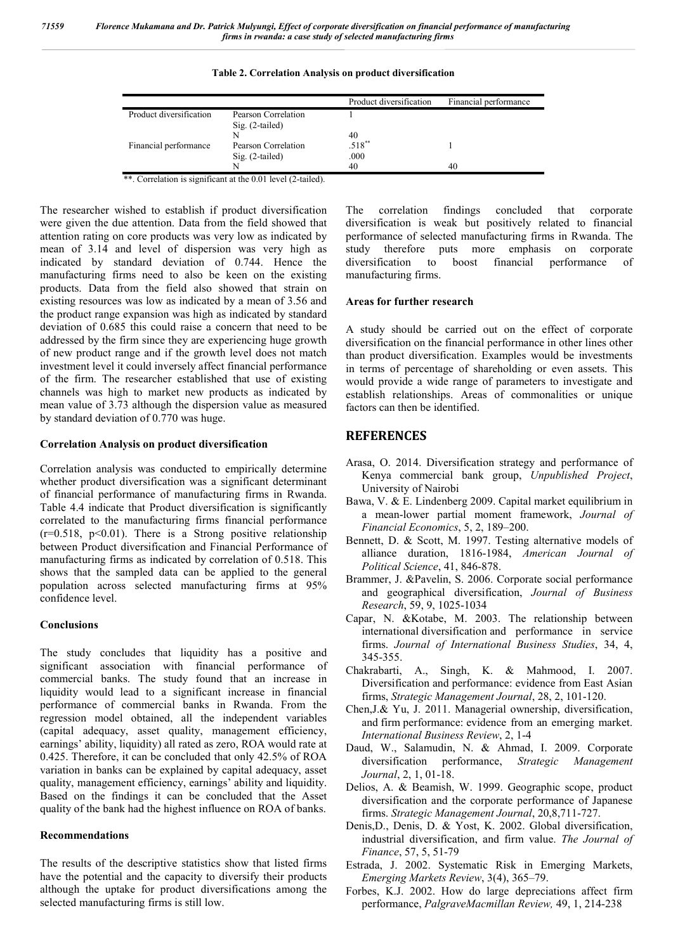|                         |                                          | Product diversification | Financial performance |
|-------------------------|------------------------------------------|-------------------------|-----------------------|
| Product diversification | Pearson Correlation<br>$Sig. (2-tailed)$ |                         |                       |
|                         |                                          | 40                      |                       |
| Financial performance   | Pearson Correlation                      | $.518**$                |                       |
|                         | $Sig. (2-tailed)$                        | .000                    |                       |
|                         |                                          | 40                      | 40                    |

**Table 2. Correlation Analysis on product diversification**

\*\*. Correlation is significant at the 0.01 level (2-tailed).

The researcher wished to establish if product diversification were given the due attention. Data from the field showed that attention rating on core products was very low as indicated by mean of 3.14 and level of dispersion was very high as indicated by standard deviation of 0.744. Hence the manufacturing firms need to also be keen on the existing products. Data from the field also showed that strain on existing resources was low as indicated by a mean of 3.56 and the product range expansion was high as indicated by standard deviation of 0.685 this could raise a concern that need to be addressed by the firm since they are experiencing huge growth of new product range and if the growth level does not match investment level it could inversely affect financial performance of the firm. The researcher established that use of existing channels was high to market new products as indicated by mean value of 3.73 although the dispersion value as measured by standard deviation of 0.770 was huge.

### **Correlation Analysis on product diversification**

Correlation analysis was conducted to empirically determine whether product diversification was a significant determinant of financial performance of manufacturing firms in Rwanda. Table 4.4 indicate that Product diversification is significantly correlated to the manufacturing firms financial performance  $(r=0.518, p<0.01)$ . There is a Strong positive relationship between Product diversification and Financial Performance of manufacturing firms as indicated by correlation of 0.518. This shows that the sampled data can be applied to the general population across selected manufacturing firms at 95% confidence level.

## **Conclusions**

The study concludes that liquidity has a positive and significant association with financial performance of commercial banks. The study found that an increase in liquidity would lead to a significant increase in financial performance of commercial banks in Rwanda. From the regression model obtained, all the independent variables (capital adequacy, asset quality, management efficiency, earnings' ability, liquidity) all rated as zero, ROA would rate at 0.425. Therefore, it can be concluded that only 42.5% of ROA variation in banks can be explained by capital adequacy, asset quality, management efficiency, earnings' ability and liquidity. Based on the findings it can be concluded that the Asset quality of the bank had the highest influence on ROA of banks.

## **Recommendations**

The results of the descriptive statistics show that listed firms have the potential and the capacity to diversify their products although the uptake for product diversifications among the selected manufacturing firms is still low.

The correlation findings concluded that corporate diversification is weak but positively related to financial performance of selected manufacturing firms in Rwanda. The study therefore puts more emphasis on corporate diversification to boost financial performance of manufacturing firms.

### **Areas for further research**

A study should be carried out on the effect of corporate diversification on the financial performance in other lines other than product diversification. Examples would be investments in terms of percentage of shareholding or even assets. This would provide a wide range of parameters to investigate and establish relationships. Areas of commonalities or unique factors can then be identified.

# **REFERENCES**

- Arasa, O. 2014. Diversification strategy and performance of Kenya commercial bank group, *Unpublished Project*, University of Nairobi
- Bawa, V. & E. Lindenberg 2009. Capital market equilibrium in a mean-lower partial moment framework, *Journal of Financial Economics*, 5, 2, 189–200.
- Bennett, D. & Scott, M. 1997. Testing alternative models of alliance duration, 1816-1984, *American Journal of Political Science*, 41, 846-878.
- Brammer, J. &Pavelin, S. 2006. Corporate social performance and geographical diversification, *Journal of Business Research*, 59, 9, 1025-1034
- Capar, N. &Kotabe, M. 2003. The relationship between international diversification and performance in service firms. *Journal of International Business Studies*, 34, 4, 345-355.
- Chakrabarti, A., Singh, K. & Mahmood, I. 2007. Diversification and performance: evidence from East Asian firms, *Strategic Management Journal*, 28, 2, 101-120.
- Chen,J.& Yu, J. 2011. Managerial ownership, diversification, and firm performance: evidence from an emerging market. *International Business Review*, 2, 1-4
- Daud, W., Salamudin, N. & Ahmad, I. 2009. Corporate diversification performance, *Strategic Management Journal*, 2, 1, 01-18.
- Delios, A. & Beamish, W. 1999. Geographic scope, product diversification and the corporate performance of Japanese firms. *Strategic Management Journal*, 20,8,711-727.
- Denis,D., Denis, D. & Yost, K. 2002. Global diversification, industrial diversification, and firm value. *The Journal of Finance*, 57, 5, 51-79
- Estrada, J. 2002. Systematic Risk in Emerging Markets, *Emerging Markets Review*, 3(4), 365–79.
- Forbes, K.J. 2002. How do large depreciations affect firm performance, *PalgraveMacmillan Review,* 49, 1, 214-238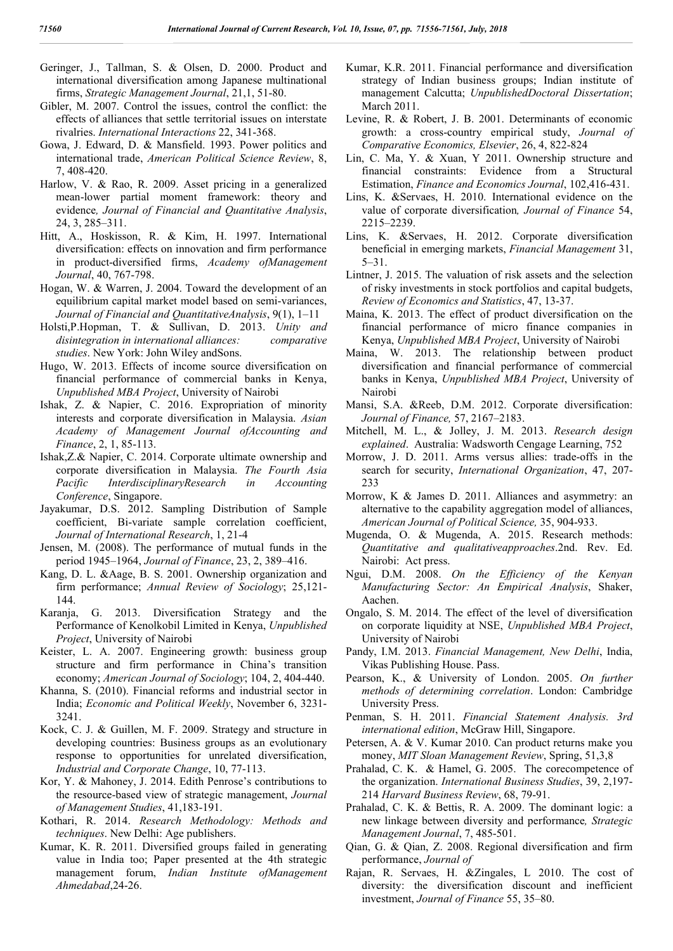- Geringer, J., Tallman, S. & Olsen, D. 2000. Product and international diversification among Japanese multinational firms, *Strategic Management Journal*, 21,1, 51-80.
- Gibler, M. 2007. Control the issues, control the conflict: the effects of alliances that settle territorial issues on interstate rivalries. *International Interactions* 22, 341-368.
- Gowa, J. Edward, D. & Mansfield. 1993. Power politics and international trade, *American Political Science Review*, 8, 7, 408-420.
- Harlow, V. & Rao, R. 2009. Asset pricing in a generalized mean-lower partial moment framework: theory and evidence*, Journal of Financial and Quantitative Analysis*, 24, 3, 285–311.
- Hitt, A., Hoskisson, R. & Kim, H. 1997. International diversification: effects on innovation and firm performance in product-diversified firms, *Academy ofManagement Journal*, 40, 767-798.
- Hogan, W. & Warren, J. 2004. Toward the development of an equilibrium capital market model based on semi-variances, *Journal of Financial and QuantitativeAnalysis*, 9(1), 1–11
- Holsti,P.Hopman, T. & Sullivan, D. 2013. *Unity and disintegration in international alliances: comparative studies*. New York: John Wiley andSons.
- Hugo, W. 2013. Effects of income source diversification on financial performance of commercial banks in Kenya, *Unpublished MBA Project*, University of Nairobi
- Ishak, Z. & Napier, C. 2016. Expropriation of minority interests and corporate diversification in Malaysia. *Asian Academy of Management Journal ofAccounting and Finance*, 2, 1, 85-113.
- Ishak,Z.& Napier, C. 2014. Corporate ultimate ownership and corporate diversification in Malaysia. *The Fourth Asia Pacific InterdisciplinaryResearch in Accounting Conference*, Singapore.
- Jayakumar, D.S. 2012. Sampling Distribution of Sample coefficient, Bi-variate sample correlation coefficient, *Journal of International Research*, 1, 21-4
- Jensen, M. (2008). The performance of mutual funds in the period 1945–1964, *Journal of Finance*, 23, 2, 389–416.
- Kang, D. L. &Aage, B. S. 2001. Ownership organization and firm performance; *Annual Review of Sociology*; 25,121- 144.
- Karanja, G. 2013. Diversification Strategy and the Performance of Kenolkobil Limited in Kenya, *Unpublished Project*, University of Nairobi
- Keister, L. A. 2007. Engineering growth: business group structure and firm performance in China's transition economy; *American Journal of Sociology*; 104, 2, 404-440.
- Khanna, S. (2010). Financial reforms and industrial sector in India; *Economic and Political Weekly*, November 6, 3231- 3241.
- Kock, C. J. & Guillen, M. F. 2009. Strategy and structure in developing countries: Business groups as an evolutionary response to opportunities for unrelated diversification, *Industrial and Corporate Change*, 10, 77-113.
- Kor, Y. & Mahoney, J. 2014. Edith Penrose's contributions to the resource-based view of strategic management, *Journal of Management Studies*, 41,183-191.
- Kothari, R. 2014. *Research Methodology: Methods and techniques*. New Delhi: Age publishers.
- Kumar, K. R. 2011. Diversified groups failed in generating value in India too; Paper presented at the 4th strategic management forum, *Indian Institute ofManagement Ahmedabad*,24-26.
- Kumar, K.R. 2011. Financial performance and diversification strategy of Indian business groups; Indian institute of management Calcutta; *UnpublishedDoctoral Dissertation*; March 2011.
- Levine, R. & Robert, J. B. 2001. Determinants of economic growth: a cross-country empirical study, *Journal of Comparative Economics, Elsevier*, 26, 4, 822-824
- Lin, C. Ma, Y. & Xuan, Y 2011. Ownership structure and financial constraints: Evidence from a Structural Estimation, *Finance and Economics Journal*, 102,416-431.
- Lins, K. &Servaes, H. 2010. International evidence on the value of corporate diversification*, Journal of Finance* 54, 2215–2239.
- Lins, K. &Servaes, H. 2012. Corporate diversification beneficial in emerging markets, *Financial Management* 31, 5–31.
- Lintner, J. 2015. The valuation of risk assets and the selection of risky investments in stock portfolios and capital budgets, *Review of Economics and Statistics*, 47, 13-37.
- Maina, K. 2013. The effect of product diversification on the financial performance of micro finance companies in Kenya, *Unpublished MBA Project*, University of Nairobi
- Maina, W. 2013. The relationship between product diversification and financial performance of commercial banks in Kenya, *Unpublished MBA Project*, University of Nairobi
- Mansi, S.A. &Reeb, D.M. 2012. Corporate diversification: *Journal of Finance,* 57, 2167–2183.
- Mitchell, M. L., & Jolley, J. M. 2013. *Research design explained*. Australia: Wadsworth Cengage Learning, 752
- Morrow, J. D. 2011. Arms versus allies: trade-offs in the search for security, *International Organization*, 47, 207- 233
- Morrow, K & James D. 2011. Alliances and asymmetry: an alternative to the capability aggregation model of alliances, *American Journal of Political Science,* 35, 904-933.
- Mugenda, O. & Mugenda, A. 2015. Research methods: *Quantitative and qualitativeapproaches*.2nd. Rev. Ed. Nairobi: Act press.
- Ngui, D.M. 2008. *On the Efficiency of the Kenyan Manufacturing Sector: An Empirical Analysis*, Shaker, Aachen.
- Ongalo, S. M. 2014. The effect of the level of diversification on corporate liquidity at NSE, *Unpublished MBA Project*, University of Nairobi
- Pandy, I.M. 2013. *Financial Management, New Delhi*, India, Vikas Publishing House. Pass.
- Pearson, K., & University of London. 2005. On further *methods of determining correlation*. London: Cambridge University Press.
- Penman, S. H. 2011. *Financial Statement Analysis. 3rd international edition*, McGraw Hill, Singapore.
- Petersen, A. & V. Kumar 2010. Can product returns make you money, *MIT Sloan Management Review*, Spring, 51,3,8
- Prahalad, C. K. & Hamel, G. 2005. The corecompetence of the organization. *International Business Studies*, 39, 2,197- 214 *Harvard Business Review*, 68, 79-91.
- Prahalad, C. K. & Bettis, R. A. 2009. The dominant logic: a new linkage between diversity and performance*, Strategic Management Journal*, 7, 485-501.
- Qian, G. & Qian, Z. 2008. Regional diversification and firm performance, *Journal of*
- Rajan, R. Servaes, H. &Zingales, L 2010. The cost of diversity: the diversification discount and inefficient investment, *Journal of Finance* 55, 35–80.